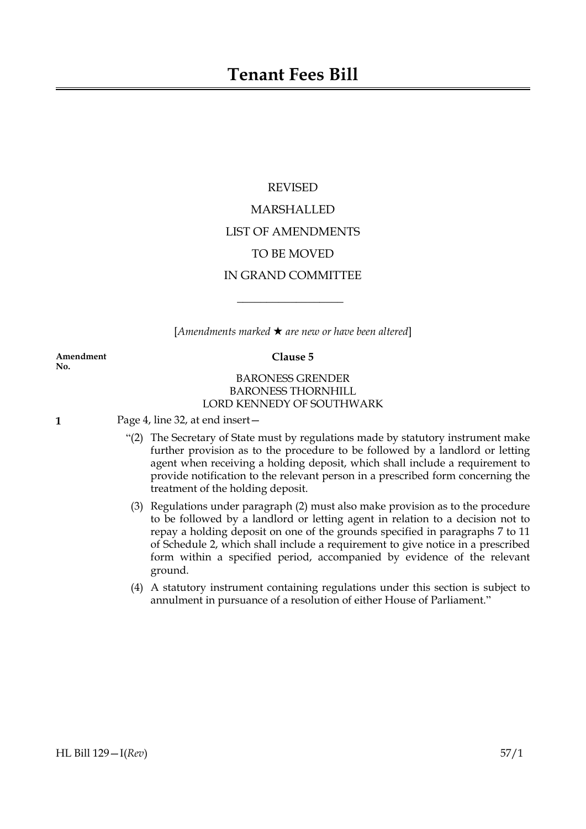# REVISED MARSHALLED LIST OF AMENDMENTS TO BE MOVED IN GRAND COMMITTEE

[*Amendments marked* \* *are new or have been altered*]

 $\overline{\phantom{a}}$  , where  $\overline{\phantom{a}}$ 

**Amendment Clause 5 No.**

# BARONESS GRENDER BARONESS THORNHILL LORD KENNEDY OF SOUTHWARK

**1** Page 4, line 32, at end insert—

- "(2) The Secretary of State must by regulations made by statutory instrument make further provision as to the procedure to be followed by a landlord or letting agent when receiving a holding deposit, which shall include a requirement to provide notification to the relevant person in a prescribed form concerning the treatment of the holding deposit.
- (3) Regulations under paragraph (2) must also make provision as to the procedure to be followed by a landlord or letting agent in relation to a decision not to repay a holding deposit on one of the grounds specified in paragraphs 7 to 11 of Schedule 2, which shall include a requirement to give notice in a prescribed form within a specified period, accompanied by evidence of the relevant ground.
- (4) A statutory instrument containing regulations under this section is subject to annulment in pursuance of a resolution of either House of Parliament."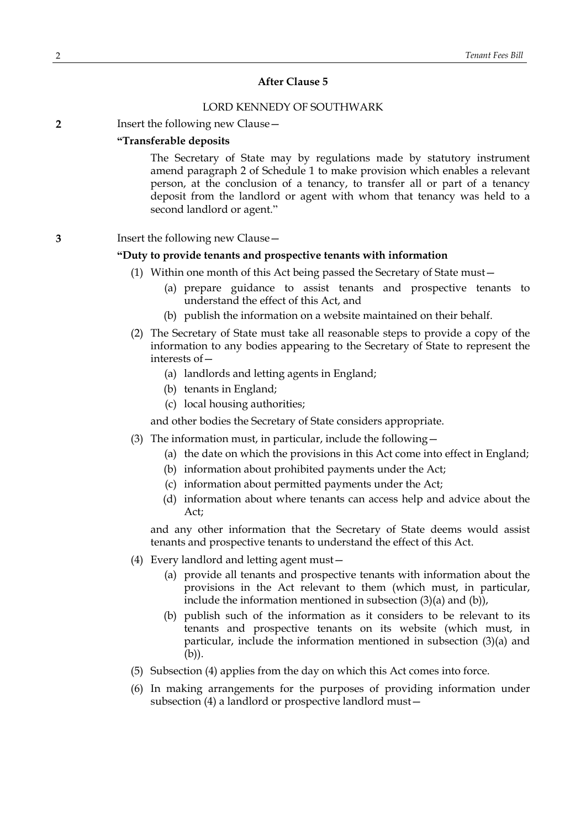#### **After Clause 5**

#### LORD KENNEDY OF SOUTHWARK

**2** Insert the following new Clause -

#### **"Transferable deposits**

The Secretary of State may by regulations made by statutory instrument amend paragraph 2 of Schedule 1 to make provision which enables a relevant person, at the conclusion of a tenancy, to transfer all or part of a tenancy deposit from the landlord or agent with whom that tenancy was held to a second landlord or agent."

### **3** Insert the following new Clause—

# **"Duty to provide tenants and prospective tenants with information**

- (1) Within one month of this Act being passed the Secretary of State must—
	- (a) prepare guidance to assist tenants and prospective tenants to understand the effect of this Act, and
	- (b) publish the information on a website maintained on their behalf.
- (2) The Secretary of State must take all reasonable steps to provide a copy of the information to any bodies appearing to the Secretary of State to represent the interests of—
	- (a) landlords and letting agents in England;
	- (b) tenants in England;
	- (c) local housing authorities;

and other bodies the Secretary of State considers appropriate.

- (3) The information must, in particular, include the following—
	- (a) the date on which the provisions in this Act come into effect in England;
	- (b) information about prohibited payments under the Act;
	- (c) information about permitted payments under the Act;
	- (d) information about where tenants can access help and advice about the Act;

and any other information that the Secretary of State deems would assist tenants and prospective tenants to understand the effect of this Act.

- (4) Every landlord and letting agent must—
	- (a) provide all tenants and prospective tenants with information about the provisions in the Act relevant to them (which must, in particular, include the information mentioned in subsection (3)(a) and (b)),
	- (b) publish such of the information as it considers to be relevant to its tenants and prospective tenants on its website (which must, in particular, include the information mentioned in subsection (3)(a) and (b)).
- (5) Subsection (4) applies from the day on which this Act comes into force.
- (6) In making arrangements for the purposes of providing information under subsection (4) a landlord or prospective landlord must—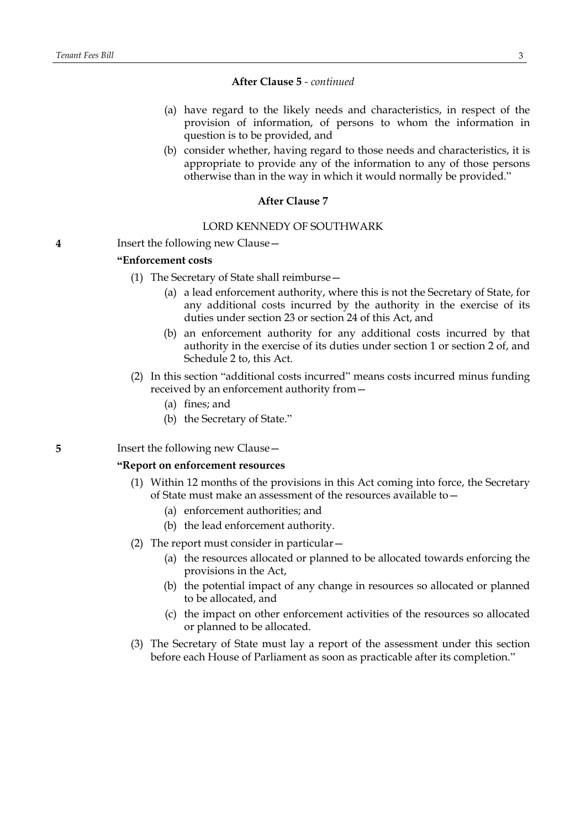#### **After Clause 5** *- continued*

- (a) have regard to the likely needs and characteristics, in respect of the provision of information, of persons to whom the information in question is to be provided, and
- (b) consider whether, having regard to those needs and characteristics, it is appropriate to provide any of the information to any of those persons otherwise than in the way in which it would normally be provided."

#### **After Clause 7**

#### LORD KENNEDY OF SOUTHWARK

**4** Insert the following new Clause—

#### **"Enforcement costs**

- (1) The Secretary of State shall reimburse—
	- (a) a lead enforcement authority, where this is not the Secretary of State, for any additional costs incurred by the authority in the exercise of its duties under section 23 or section 24 of this Act, and
	- (b) an enforcement authority for any additional costs incurred by that authority in the exercise of its duties under section 1 or section 2 of, and Schedule 2 to, this Act.
- (2) In this section "additional costs incurred" means costs incurred minus funding received by an enforcement authority from—
	- (a) fines; and
	- (b) the Secretary of State."

# **5** Insert the following new Clause —

## **"Report on enforcement resources**

- (1) Within 12 months of the provisions in this Act coming into force, the Secretary of State must make an assessment of the resources available to—
	- (a) enforcement authorities; and
	- (b) the lead enforcement authority.
- (2) The report must consider in particular—
	- (a) the resources allocated or planned to be allocated towards enforcing the provisions in the Act,
	- (b) the potential impact of any change in resources so allocated or planned to be allocated, and
	- (c) the impact on other enforcement activities of the resources so allocated or planned to be allocated.
- (3) The Secretary of State must lay a report of the assessment under this section before each House of Parliament as soon as practicable after its completion."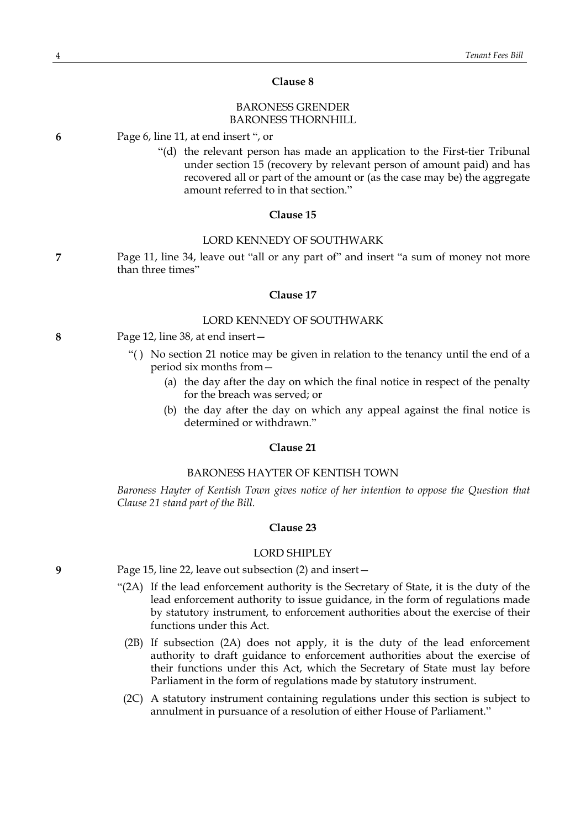#### **Clause 8**

# BARONESS GRENDER BARONESS THORNHILL

**6** Page 6, line 11, at end insert ", or

"(d) the relevant person has made an application to the First-tier Tribunal under section 15 (recovery by relevant person of amount paid) and has recovered all or part of the amount or (as the case may be) the aggregate amount referred to in that section."

#### **Clause 15**

#### LORD KENNEDY OF SOUTHWARK

**7** Page 11, line 34, leave out "all or any part of" and insert "a sum of money not more than three times"

#### **Clause 17**

#### LORD KENNEDY OF SOUTHWARK

- **8** Page 12, line 38, at end insert—
	- "( ) No section 21 notice may be given in relation to the tenancy until the end of a period six months from—
		- (a) the day after the day on which the final notice in respect of the penalty for the breach was served; or
		- (b) the day after the day on which any appeal against the final notice is determined or withdrawn."

#### **Clause 21**

### BARONESS HAYTER OF KENTISH TOWN

*Baroness Hayter of Kentish Town gives notice of her intention to oppose the Question that Clause 21 stand part of the Bill.*

#### **Clause 23**

#### LORD SHIPLEY

- **9** Page 15, line 22, leave out subsection (2) and insert—
	- "(2A) If the lead enforcement authority is the Secretary of State, it is the duty of the lead enforcement authority to issue guidance, in the form of regulations made by statutory instrument, to enforcement authorities about the exercise of their functions under this Act.
		- (2B) If subsection (2A) does not apply, it is the duty of the lead enforcement authority to draft guidance to enforcement authorities about the exercise of their functions under this Act, which the Secretary of State must lay before Parliament in the form of regulations made by statutory instrument.
		- (2C) A statutory instrument containing regulations under this section is subject to annulment in pursuance of a resolution of either House of Parliament."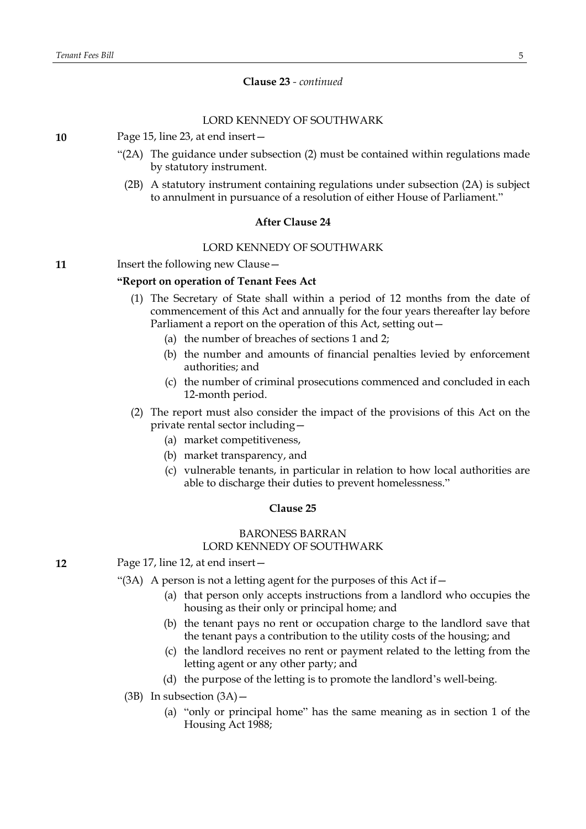# **Clause 23** *- continued*

# LORD KENNEDY OF SOUTHWARK

**10** Page 15, line 23, at end insert—

- "(2A) The guidance under subsection (2) must be contained within regulations made by statutory instrument.
- (2B) A statutory instrument containing regulations under subsection (2A) is subject to annulment in pursuance of a resolution of either House of Parliament."

### **After Clause 24**

### LORD KENNEDY OF SOUTHWARK

**11** Insert the following new Clause -

#### **"Report on operation of Tenant Fees Act**

- (1) The Secretary of State shall within a period of 12 months from the date of commencement of this Act and annually for the four years thereafter lay before Parliament a report on the operation of this Act, setting out—
	- (a) the number of breaches of sections 1 and 2;
	- (b) the number and amounts of financial penalties levied by enforcement authorities; and
	- (c) the number of criminal prosecutions commenced and concluded in each 12-month period.

(2) The report must also consider the impact of the provisions of this Act on the private rental sector including—

- (a) market competitiveness,
- (b) market transparency, and
- (c) vulnerable tenants, in particular in relation to how local authorities are able to discharge their duties to prevent homelessness."

#### **Clause 25**

# BARONESS BARRAN LORD KENNEDY OF SOUTHWARK

- **12** Page 17, line 12, at end insert—
	- "(3A) A person is not a letting agent for the purposes of this Act if  $-$ 
		- (a) that person only accepts instructions from a landlord who occupies the housing as their only or principal home; and
		- (b) the tenant pays no rent or occupation charge to the landlord save that the tenant pays a contribution to the utility costs of the housing; and
		- (c) the landlord receives no rent or payment related to the letting from the letting agent or any other party; and
		- (d) the purpose of the letting is to promote the landlord's well-being.
	- $(3B)$  In subsection  $(3A)$ 
		- (a) "only or principal home" has the same meaning as in section 1 of the Housing Act 1988;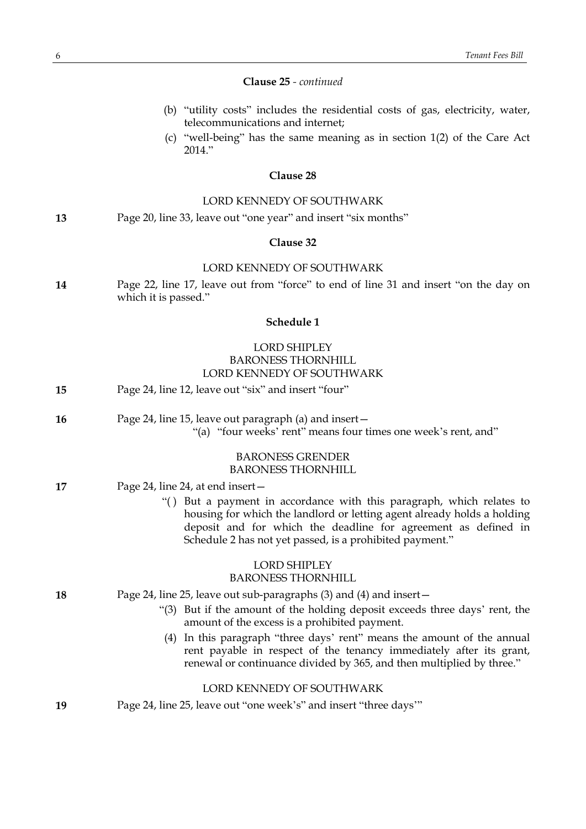#### **Clause 25** *- continued*

- (b) "utility costs" includes the residential costs of gas, electricity, water, telecommunications and internet;
- (c) "well-being" has the same meaning as in section 1(2) of the Care Act 2014."

#### **Clause 28**

# LORD KENNEDY OF SOUTHWARK

**13** Page 20, line 33, leave out "one year" and insert "six months"

# **Clause 32**

#### LORD KENNEDY OF SOUTHWARK

**14** Page 22, line 17, leave out from "force" to end of line 31 and insert "on the day on which it is passed."

#### **Schedule 1**

# LORD SHIPLEY BARONESS THORNHILL LORD KENNEDY OF SOUTHWARK

- **15** Page 24, line 12, leave out "six" and insert "four"
- **16** Page 24, line 15, leave out paragraph (a) and insert—
	- "(a) "four weeks' rent" means four times one week's rent, and"

## BARONESS GRENDER BARONESS THORNHILL

- **17** Page 24, line 24, at end insert—
	- "( ) But a payment in accordance with this paragraph, which relates to housing for which the landlord or letting agent already holds a holding deposit and for which the deadline for agreement as defined in Schedule 2 has not yet passed, is a prohibited payment."

#### LORD SHIPLEY BARONESS THORNHILL

#### **18** Page 24, line 25, leave out sub-paragraphs (3) and (4) and insert—

- "(3) But if the amount of the holding deposit exceeds three days' rent, the amount of the excess is a prohibited payment.
- (4) In this paragraph "three days' rent" means the amount of the annual rent payable in respect of the tenancy immediately after its grant, renewal or continuance divided by 365, and then multiplied by three."

#### LORD KENNEDY OF SOUTHWARK

**19** Page 24, line 25, leave out "one week's" and insert "three days'"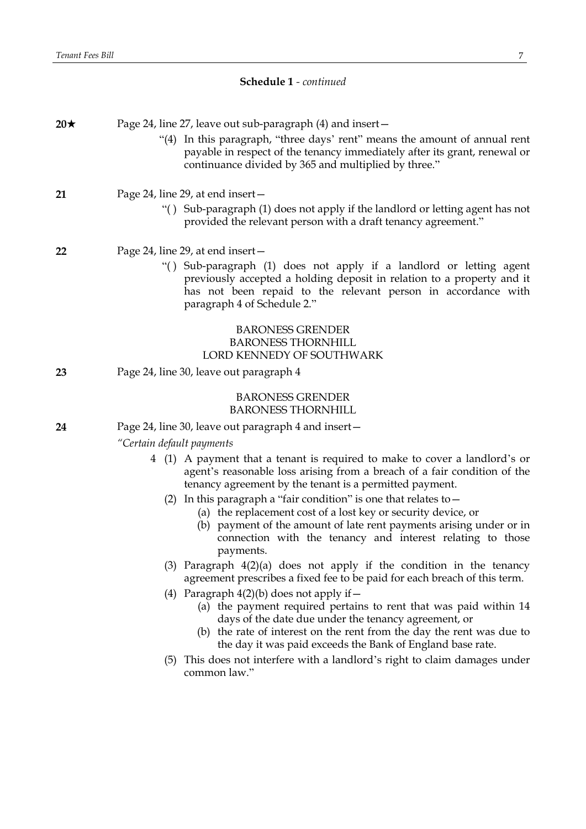# **Schedule 1** *- continued*

| $20\star$ |                                                      | Page 24, line 27, leave out sub-paragraph (4) and insert-<br>"(4) In this paragraph, "three days' rent" means the amount of annual rent<br>payable in respect of the tenancy immediately after its grant, renewal or<br>continuance divided by 365 and multiplied by three."                                      |
|-----------|------------------------------------------------------|-------------------------------------------------------------------------------------------------------------------------------------------------------------------------------------------------------------------------------------------------------------------------------------------------------------------|
| 21        |                                                      | Page 24, line 29, at end insert –<br>"() Sub-paragraph (1) does not apply if the landlord or letting agent has not<br>provided the relevant person with a draft tenancy agreement."                                                                                                                               |
| 22        |                                                      | Page 24, line 29, at end insert -<br>"() Sub-paragraph (1) does not apply if a landlord or letting agent<br>previously accepted a holding deposit in relation to a property and it<br>has not been repaid to the relevant person in accordance with<br>paragraph 4 of Schedule 2."                                |
|           |                                                      | <b>BARONESS GRENDER</b><br><b>BARONESS THORNHILL</b><br>LORD KENNEDY OF SOUTHWARK                                                                                                                                                                                                                                 |
| 23        | Page 24, line 30, leave out paragraph 4              |                                                                                                                                                                                                                                                                                                                   |
|           |                                                      | <b>BARONESS GRENDER</b><br><b>BARONESS THORNHILL</b>                                                                                                                                                                                                                                                              |
| 24        | Page 24, line 30, leave out paragraph 4 and insert - |                                                                                                                                                                                                                                                                                                                   |
|           | "Certain default payments                            |                                                                                                                                                                                                                                                                                                                   |
|           |                                                      | 4 (1) A payment that a tenant is required to make to cover a landlord's or<br>agent's reasonable loss arising from a breach of a fair condition of the<br>tenancy agreement by the tenant is a permitted payment.                                                                                                 |
|           |                                                      | (2) In this paragraph a "fair condition" is one that relates to $-$<br>(a) the replacement cost of a lost key or security device, or<br>(b) payment of the amount of late rent payments arising under or in<br>connection with the tenancy and interest relating to those<br>payments.                            |
|           | (3)                                                  | Paragraph $4(2)(a)$ does not apply if the condition in the tenancy<br>agreement prescribes a fixed fee to be paid for each breach of this term.                                                                                                                                                                   |
|           |                                                      | (4) Paragraph $4(2)(b)$ does not apply if $-$<br>(a) the payment required pertains to rent that was paid within 14<br>days of the date due under the tenancy agreement, or<br>(b) the rate of interest on the rent from the day the rent was due to<br>the day it was paid exceeds the Bank of England base rate. |
|           |                                                      | (5) This does not interfere with a landlord's right to claim damages under<br>common law."                                                                                                                                                                                                                        |
|           |                                                      |                                                                                                                                                                                                                                                                                                                   |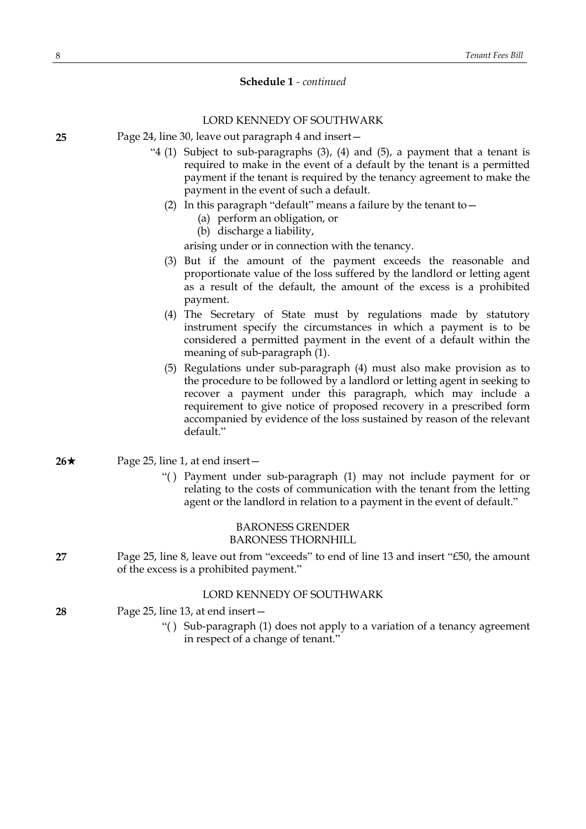# **Schedule 1** *- continued*

# LORD KENNEDY OF SOUTHWARK

- **25** Page 24, line 30, leave out paragraph 4 and insert—
	- "4 (1) Subject to sub-paragraphs (3), (4) and (5), a payment that a tenant is required to make in the event of a default by the tenant is a permitted payment if the tenant is required by the tenancy agreement to make the payment in the event of such a default.
		- (2) In this paragraph "default" means a failure by the tenant to  $-$ 
			- (a) perform an obligation, or
			- (b) discharge a liability,

arising under or in connection with the tenancy.

- (3) But if the amount of the payment exceeds the reasonable and proportionate value of the loss suffered by the landlord or letting agent as a result of the default, the amount of the excess is a prohibited payment.
- (4) The Secretary of State must by regulations made by statutory instrument specify the circumstances in which a payment is to be considered a permitted payment in the event of a default within the meaning of sub-paragraph (1).
- (5) Regulations under sub-paragraph (4) must also make provision as to the procedure to be followed by a landlord or letting agent in seeking to recover a payment under this paragraph, which may include a requirement to give notice of proposed recovery in a prescribed form accompanied by evidence of the loss sustained by reason of the relevant default."
- $26\star$  Page 25, line 1, at end insert-
	- "( ) Payment under sub-paragraph (1) may not include payment for or relating to the costs of communication with the tenant from the letting agent or the landlord in relation to a payment in the event of default."

# BARONESS GRENDER BARONESS THORNHILL

**27** Page 25, line 8, leave out from "exceeds" to end of line 13 and insert "£50, the amount of the excess is a prohibited payment."

## LORD KENNEDY OF SOUTHWARK

- **28** Page 25, line 13, at end insert—
	- "( ) Sub-paragraph (1) does not apply to a variation of a tenancy agreement in respect of a change of tenant."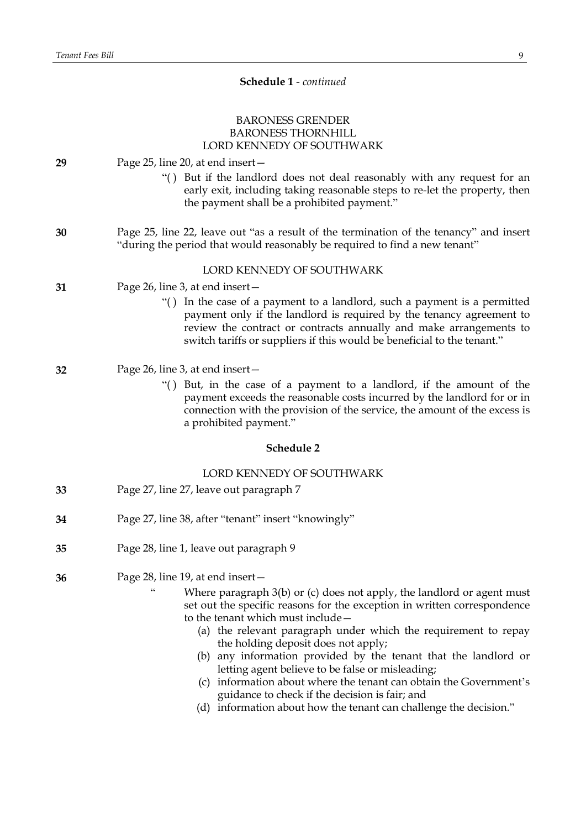# **Schedule 1** *- continued*

# BARONESS GRENDER BARONESS THORNHILL LORD KENNEDY OF SOUTHWARK

# **29** Page 25, line 20, at end insert— "( ) But if the landlord does not deal reasonably with any request for an early exit, including taking reasonable steps to re-let the property, then the payment shall be a prohibited payment." **30** Page 25, line 22, leave out "as a result of the termination of the tenancy" and insert "during the period that would reasonably be required to find a new tenant" LORD KENNEDY OF SOUTHWARK **31** Page 26, line 3, at end insert— "( ) In the case of a payment to a landlord, such a payment is a permitted payment only if the landlord is required by the tenancy agreement to review the contract or contracts annually and make arrangements to switch tariffs or suppliers if this would be beneficial to the tenant." **32** Page 26, line 3, at end insert— "( ) But, in the case of a payment to a landlord, if the amount of the payment exceeds the reasonable costs incurred by the landlord for or in connection with the provision of the service, the amount of the excess is a prohibited payment." **Schedule 2** LORD KENNEDY OF SOUTHWARK **33** Page 27, line 27, leave out paragraph 7 **34** Page 27, line 38, after "tenant" insert "knowingly" **35** Page 28, line 1, leave out paragraph 9 **36** Page 28, line 19, at end insert— Where paragraph 3(b) or (c) does not apply, the landlord or agent must set out the specific reasons for the exception in written correspondence to the tenant which must include— (a) the relevant paragraph under which the requirement to repay the holding deposit does not apply; (b) any information provided by the tenant that the landlord or letting agent believe to be false or misleading;

- (c) information about where the tenant can obtain the Government's guidance to check if the decision is fair; and
- (d) information about how the tenant can challenge the decision."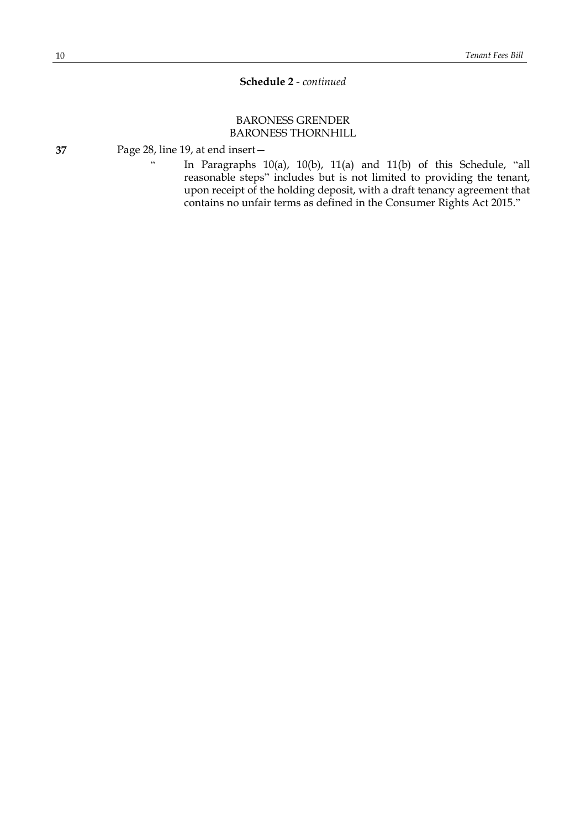# **Schedule 2** *- continued*

# BARONESS GRENDER BARONESS THORNHILL

**37** Page 28, line 19, at end insert—

" In Paragraphs 10(a), 10(b), 11(a) and 11(b) of this Schedule, "all reasonable steps" includes but is not limited to providing the tenant, upon receipt of the holding deposit, with a draft tenancy agreement that contains no unfair terms as defined in the Consumer Rights Act 2015."